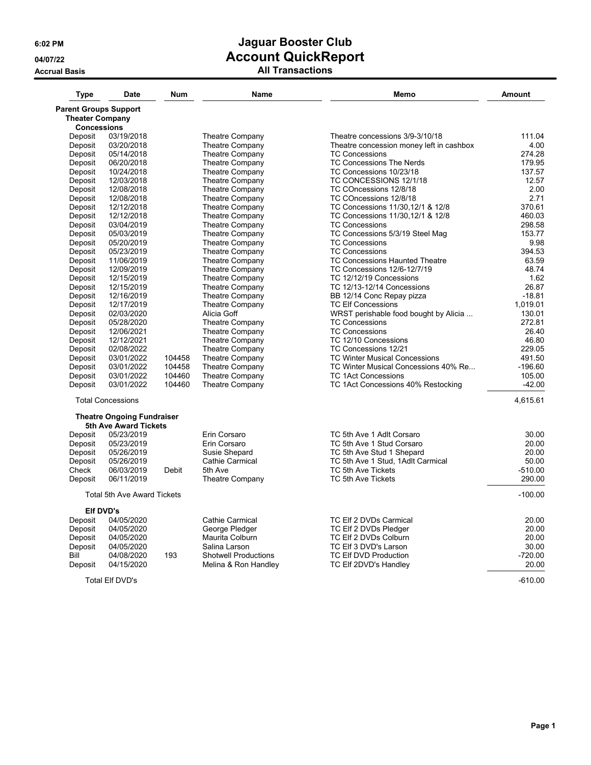**Accrual Basis All Transactions**

| <b>Type</b>                                            | <b>Date</b>                        | Num    | Name                        | Memo                                     | <b>Amount</b> |
|--------------------------------------------------------|------------------------------------|--------|-----------------------------|------------------------------------------|---------------|
| <b>Parent Groups Support</b><br><b>Theater Company</b> |                                    |        |                             |                                          |               |
| <b>Concessions</b>                                     |                                    |        |                             |                                          |               |
| Deposit                                                | 03/19/2018                         |        | <b>Theatre Company</b>      | Theatre concessions 3/9-3/10/18          | 111.04        |
| Deposit                                                | 03/20/2018                         |        | Theatre Company             | Theatre concession money left in cashbox | 4.00          |
| Deposit                                                | 05/14/2018                         |        | Theatre Company             | <b>TC Concessions</b>                    | 274.28        |
| Deposit                                                | 06/20/2018                         |        | Theatre Company             | TC Concessions The Nerds                 | 179.95        |
| Deposit                                                | 10/24/2018                         |        | Theatre Company             | TC Concessions 10/23/18                  | 137.57        |
| Deposit                                                | 12/03/2018                         |        | Theatre Company             | TC CONCESSIONS 12/1/18                   | 12.57         |
| Deposit                                                | 12/08/2018                         |        | Theatre Company             | TC COncessions 12/8/18                   | 2.00          |
| Deposit                                                | 12/08/2018                         |        | Theatre Company             | TC COncessions 12/8/18                   | 2.71          |
| Deposit                                                | 12/12/2018                         |        | Theatre Company             | TC Concessions 11/30,12/1 & 12/8         | 370.61        |
| Deposit                                                | 12/12/2018                         |        | Theatre Company             | TC Concessions 11/30, 12/1 & 12/8        | 460.03        |
| Deposit                                                | 03/04/2019                         |        | Theatre Company             | <b>TC Concessions</b>                    | 298.58        |
| Deposit                                                | 05/03/2019                         |        | Theatre Company             | TC Concessions 5/3/19 Steel Mag          | 153.77        |
| Deposit                                                | 05/20/2019                         |        | Theatre Company             | <b>TC Concessions</b>                    | 9.98          |
| Deposit                                                | 05/23/2019                         |        | Theatre Company             | <b>TC Concessions</b>                    | 394.53        |
| Deposit                                                | 11/06/2019                         |        | Theatre Company             | TC Concessions Haunted Theatre           | 63.59         |
| Deposit                                                | 12/09/2019                         |        | Theatre Company             | TC Concessions 12/6-12/7/19              | 48.74         |
| Deposit                                                | 12/15/2019                         |        | Theatre Company             | TC 12/12/19 Concessions                  | 1.62          |
| Deposit                                                | 12/15/2019                         |        | Theatre Company             | TC 12/13-12/14 Concessions               | 26.87         |
| Deposit                                                | 12/16/2019                         |        | Theatre Company             | BB 12/14 Conc Repay pizza                | $-18.81$      |
| Deposit                                                | 12/17/2019                         |        | Theatre Company             | <b>TC Elf Concessions</b>                | 1.019.01      |
| Deposit                                                | 02/03/2020                         |        | Alicia Goff                 | WRST perishable food bought by Alicia    | 130.01        |
| Deposit                                                | 05/28/2020                         |        | Theatre Company             | <b>TC Concessions</b>                    | 272.81        |
| Deposit                                                | 12/06/2021                         |        | Theatre Company             | <b>TC Concessions</b>                    | 26.40         |
| Deposit                                                | 12/12/2021                         |        | <b>Theatre Company</b>      | TC 12/10 Concessions                     | 46.80         |
| Deposit                                                | 02/08/2022                         |        | Theatre Company             | TC Concessions 12/21                     | 229.05        |
| Deposit                                                | 03/01/2022                         | 104458 | Theatre Company             | <b>TC Winter Musical Concessions</b>     | 491.50        |
| Deposit                                                | 03/01/2022                         | 104458 | Theatre Company             | TC Winter Musical Concessions 40% Re     | $-196.60$     |
| Deposit                                                | 03/01/2022                         | 104460 | Theatre Company             | <b>TC 1Act Concessions</b>               | 105.00        |
| Deposit                                                | 03/01/2022                         | 104460 | Theatre Company             | TC 1Act Concessions 40% Restocking       | $-42.00$      |
|                                                        | <b>Total Concessions</b>           |        |                             |                                          | 4,615.61      |
|                                                        | <b>Theatre Ongoing Fundraiser</b>  |        |                             |                                          |               |
|                                                        | 5th Ave Award Tickets              |        |                             |                                          |               |
| Deposit                                                | 05/23/2019                         |        | Erin Corsaro                | TC 5th Ave 1 Adlt Corsaro                | 30.00         |
| Deposit                                                | 05/23/2019                         |        | Erin Corsaro                | TC 5th Ave 1 Stud Corsaro                | 20.00         |
| Deposit                                                | 05/26/2019                         |        | Susie Shepard               | TC 5th Ave Stud 1 Shepard                | 20.00         |
| Deposit                                                | 05/26/2019                         |        | Cathie Carmical             | TC 5th Ave 1 Stud, 1Adlt Carmical        | 50.00         |
| Check                                                  | 06/03/2019                         | Debit  | 5th Ave                     | TC 5th Ave Tickets                       | $-510.00$     |
| Deposit                                                | 06/11/2019                         |        | Theatre Company             | TC 5th Ave Tickets                       | 290.00        |
|                                                        | <b>Total 5th Ave Award Tickets</b> |        |                             |                                          | $-100.00$     |
|                                                        | Elf DVD's                          |        |                             |                                          |               |
| Deposit                                                | 04/05/2020                         |        | <b>Cathie Carmical</b>      | TC Elf 2 DVDs Carmical                   | 20.00         |
| Deposit                                                | 04/05/2020                         |        | George Pledger              | TC Elf 2 DVDs Pledger                    | 20.00         |
| Deposit                                                | 04/05/2020                         |        | Maurita Colburn             | TC Elf 2 DVDs Colburn                    | 20.00         |
| Deposit                                                | 04/05/2020                         |        | Salina Larson               | TC Elf 3 DVD's Larson                    | 30.00         |
| Bill                                                   | 04/08/2020                         | 193    | <b>Shotwell Productions</b> | TC Elf DVD Production                    | $-720.00$     |
| Deposit                                                | 04/15/2020                         |        | Melina & Ron Handley        | TC Elf 2DVD's Handley                    | 20.00         |
|                                                        | <b>Total Elf DVD's</b>             |        |                             |                                          | $-610.00$     |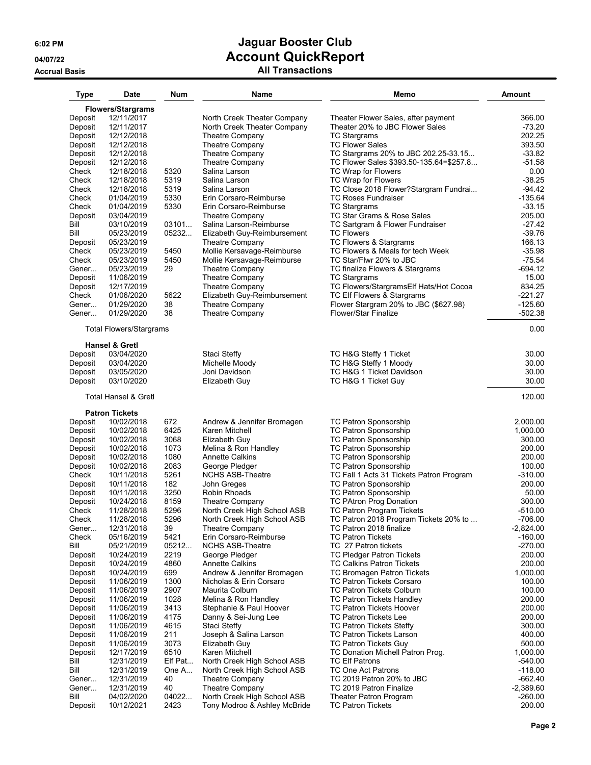### **Accrual Basis All Transactions**

| <b>Type</b>        | Date                            | Num          | Name                                           | Memo                                                 | <b>Amount</b>          |
|--------------------|---------------------------------|--------------|------------------------------------------------|------------------------------------------------------|------------------------|
|                    | Flowers/Stargrams               |              |                                                |                                                      |                        |
| Deposit            | 12/11/2017                      |              | North Creek Theater Company                    | Theater Flower Sales, after payment                  | 366.00                 |
| Deposit            | 12/11/2017                      |              | North Creek Theater Company                    | Theater 20% to JBC Flower Sales                      | $-73.20$               |
| Deposit            | 12/12/2018                      |              | Theatre Company                                | <b>TC Stargrams</b>                                  | 202.25                 |
| Deposit            | 12/12/2018                      |              | <b>Theatre Company</b>                         | <b>TC Flower Sales</b>                               | 393.50                 |
| Deposit            | 12/12/2018                      |              | Theatre Company                                | TC Stargrams 20% to JBC 202.25-33.15                 | $-33.82$               |
| Deposit            | 12/12/2018                      |              | Theatre Company                                | TC Flower Sales \$393.50-135.64=\$257.8              | $-51.58$               |
| Check              | 12/18/2018                      | 5320         | Salina Larson                                  | TC Wrap for Flowers                                  | 0.00                   |
| Check              | 12/18/2018                      | 5319         | Salina Larson                                  | TC Wrap for Flowers                                  | $-38.25$               |
| Check              | 12/18/2018                      | 5319         | Salina Larson                                  | TC Close 2018 Flower?Stargram Fundrai                | $-94.42$               |
| Check              | 01/04/2019                      | 5330         | Erin Corsaro-Reimburse                         | <b>TC Roses Fundraiser</b>                           | $-135.64$              |
| Check              | 01/04/2019                      | 5330         | Erin Corsaro-Reimburse                         | TC Stargrams                                         | $-33.15$               |
| Deposit<br>Bill    | 03/04/2019                      | 03101        | <b>Theatre Company</b>                         | TC Star Grams & Rose Sales                           | 205.00                 |
| Bill               | 03/10/2019<br>05/23/2019        | 05232        | Salina Larson-Reimburse                        | TC Sartgram & Flower Fundraiser<br><b>TC Flowers</b> | $-27.42$<br>$-39.76$   |
| Deposit            | 05/23/2019                      |              | Elizabeth Guy-Reimbursement<br>Theatre Company | TC Flowers & Stargrams                               | 166.13                 |
| Check              | 05/23/2019                      | 5450         | Mollie Kersavage-Reimburse                     | TC Flowers & Meals for tech Week                     | $-35.98$               |
| Check              | 05/23/2019                      | 5450         | Mollie Kersavage-Reimburse                     | TC Star/Flwr 20% to JBC                              | $-75.54$               |
| Gener              | 05/23/2019                      | 29           | Theatre Company                                | TC finalize Flowers & Stargrams                      | $-694.12$              |
| Deposit            | 11/06/2019                      |              | Theatre Company                                | <b>TC Stargrams</b>                                  | 15.00                  |
| Deposit            | 12/17/2019                      |              | Theatre Company                                | TC Flowers/StargramsElf Hats/Hot Cocoa               | 834.25                 |
| Check              | 01/06/2020                      | 5622         | Elizabeth Guy-Reimbursement                    | TC Elf Flowers & Stargrams                           | $-221.27$              |
| Gener              | 01/29/2020                      | 38           | Theatre Company                                | Flower Stargram 20% to JBC (\$627.98)                | $-125.60$              |
| Gener              | 01/29/2020                      | 38           | <b>Theatre Company</b>                         | <b>Flower/Star Finalize</b>                          | $-502.38$              |
|                    | <b>Total Flowers/Stargrams</b>  |              |                                                |                                                      | 0.00                   |
|                    | <b>Hansel &amp; Gretl</b>       |              |                                                |                                                      |                        |
| Deposit            | 03/04/2020                      |              | Staci Steffy                                   | TC H&G Steffy 1 Ticket                               | 30.00                  |
| Deposit            | 03/04/2020                      |              | Michelle Moody                                 | TC H&G Steffy 1 Moody                                | 30.00                  |
| Deposit            | 03/05/2020                      |              | Joni Davidson                                  | TC H&G 1 Ticket Davidson                             | 30.00                  |
| Deposit            | 03/10/2020                      |              | Elizabeth Guy                                  | TC H&G 1 Ticket Guy                                  | 30.00                  |
|                    | <b>Total Hansel &amp; Gretl</b> |              |                                                |                                                      | 120.00                 |
|                    | <b>Patron Tickets</b>           |              |                                                |                                                      |                        |
| Deposit            | 10/02/2018                      | 672          | Andrew & Jennifer Bromagen                     | TC Patron Sponsorship                                | 2,000.00               |
| Deposit            | 10/02/2018                      | 6425         | Karen Mitchell                                 | TC Patron Sponsorship                                | 1,000.00               |
| Deposit            | 10/02/2018                      | 3068         | Elizabeth Guy                                  | TC Patron Sponsorship                                | 300.00                 |
| Deposit<br>Deposit | 10/02/2018<br>10/02/2018        | 1073<br>1080 | Melina & Ron Handley<br><b>Annette Calkins</b> | TC Patron Sponsorship<br>TC Patron Sponsorship       | 200.00<br>200.00       |
| Deposit            | 10/02/2018                      | 2083         | George Pledger                                 | TC Patron Sponsorship                                | 100.00                 |
| Check              | 10/11/2018                      | 5261         | <b>NCHS ASB-Theatre</b>                        | TC Fall 1 Acts 31 Tickets Patron Program             | $-310.00$              |
| Deposit            | 10/11/2018                      | 182          | John Greges                                    | <b>TC Patron Sponsorship</b>                         | 200.00                 |
| Deposit            | 10/11/2018                      | 3250         | Robin Rhoads                                   | TC Patron Sponsorship                                | 50.00                  |
| Deposit            | 10/24/2018                      | 8159         | <b>Theatre Company</b>                         | TC PAtron Prog Donation                              | 300.00                 |
| Check              | 11/28/2018                      | 5296         | North Creek High School ASB                    | TC Patron Program Tickets                            | $-510.00$              |
| Check              | 11/28/2018                      | 5296         | North Creek High School ASB                    | TC Patron 2018 Program Tickets 20% to                | $-706.00$              |
| Gener              | 12/31/2018                      | 39           | <b>Theatre Company</b>                         | TC Patron 2018 finalize                              | $-2,824.00$            |
| Check              | 05/16/2019                      | 5421         | Erin Corsaro-Reimburse                         | <b>TC Patron Tickets</b>                             | $-160.00$              |
| Bill               | 05/21/2019                      | 05212        | <b>NCHS ASB-Theatre</b>                        | TC 27 Patron tickets                                 | $-270.00$              |
| Deposit            | 10/24/2019                      | 2219         | George Pledger                                 | <b>TC Pledger Patron Tickets</b>                     | 200.00                 |
| Deposit            | 10/24/2019                      | 4860         | <b>Annette Calkins</b>                         | <b>TC Calkins Patron Tickets</b>                     | 200.00                 |
| Deposit            | 10/24/2019                      | 699          | Andrew & Jennifer Bromagen                     | TC Bromagen Patron Tickets                           | 1,000.00               |
| Deposit            | 11/06/2019                      | 1300         | Nicholas & Erin Corsaro                        | <b>TC Patron Tickets Corsaro</b>                     | 100.00                 |
| Deposit            | 11/06/2019                      | 2907         | Maurita Colburn                                | <b>TC Patron Tickets Colburn</b>                     | 100.00                 |
| Deposit            | 11/06/2019                      | 1028         | Melina & Ron Handley                           | TC Patron Tickets Handley                            | 200.00                 |
| Deposit            | 11/06/2019                      | 3413         | Stephanie & Paul Hoover                        | TC Patron Tickets Hoover                             | 200.00                 |
| Deposit            | 11/06/2019                      | 4175         | Danny & Sei-Jung Lee                           | TC Patron Tickets Lee                                | 200.00                 |
| Deposit            | 11/06/2019                      | 4615         | Staci Steffy                                   | TC Patron Tickets Steffy                             | 300.00                 |
| Deposit            | 11/06/2019                      | 211          | Joseph & Salina Larson                         | <b>TC Patron Tickets Larson</b>                      | 400.00                 |
| Deposit            | 11/06/2019                      | 3073         | Elizabeth Guy                                  | <b>TC Patron Tickets Guy</b>                         | 500.00                 |
| Deposit            | 12/17/2019                      | 6510         | Karen Mitchell                                 | TC Donation Michell Patron Prog.                     | 1,000.00               |
| Bill               | 12/31/2019                      | Elf Pat      | North Creek High School ASB                    | <b>TC Elf Patrons</b>                                | $-540.00$              |
| Bill<br>Gener      | 12/31/2019<br>12/31/2019        | One A<br>40  | North Creek High School ASB<br>Theatre Company | TC One Act Patrons<br>TC 2019 Patron 20% to JBC      | $-118.00$<br>$-662.40$ |
| Gener              | 12/31/2019                      | 40           | Theatre Company                                | TC 2019 Patron Finalize                              | $-2,389.60$            |
| Bill               | 04/02/2020                      | 04022        | North Creek High School ASB                    | Theater Patron Program                               | $-260.00$              |
| Deposit            | 10/12/2021                      | 2423         | Tony Modroo & Ashley McBride                   | <b>TC Patron Tickets</b>                             | 200.00                 |
|                    |                                 |              |                                                |                                                      |                        |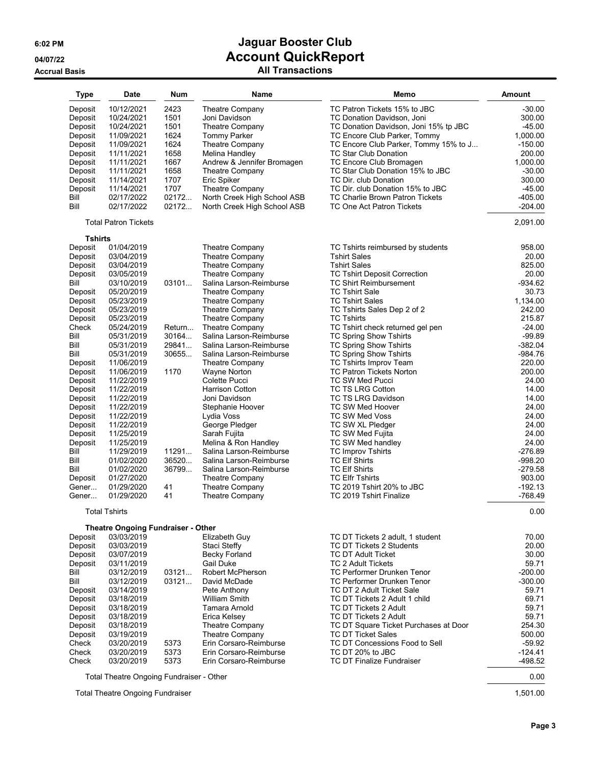### **Accrual Basis All Transactions**

| <b>Type</b> | <b>Date</b>                              | <b>Num</b> | Name                        | Memo                                   | <b>Amount</b> |
|-------------|------------------------------------------|------------|-----------------------------|----------------------------------------|---------------|
| Deposit     | 10/12/2021                               | 2423       | Theatre Company             | TC Patron Tickets 15% to JBC           | $-30.00$      |
| Deposit     | 10/24/2021                               | 1501       | Joni Davidson               | TC Donation Davidson, Joni             | 300.00        |
| Deposit     | 10/24/2021                               | 1501       | Theatre Company             | TC Donation Davidson, Joni 15% tp JBC  | $-45.00$      |
| Deposit     | 11/09/2021                               | 1624       | <b>Tommy Parker</b>         | TC Encore Club Parker, Tommy           | 1,000.00      |
| Deposit     | 11/09/2021                               | 1624       | Theatre Company             | TC Encore Club Parker, Tommy 15% to J  | $-150.00$     |
| Deposit     | 11/11/2021                               | 1658       | Melina Handlev              | <b>TC Star Club Donation</b>           | 200.00        |
| Deposit     | 11/11/2021                               | 1667       | Andrew & Jennifer Bromagen  | TC Encore Club Bromagen                | 1,000.00      |
| Deposit     | 11/11/2021                               | 1658       | Theatre Company             | TC Star Club Donation 15% to JBC       | $-30.00$      |
| Deposit     | 11/14/2021                               | 1707       | Eric Spiker                 | TC Dir. club Donation                  | 300.00        |
| Deposit     | 11/14/2021                               | 1707       | Theatre Company             | TC Dir. club Donation 15% to JBC       | $-45.00$      |
| Bill        | 02/17/2022                               | 02172      | North Creek High School ASB | <b>TC Charlie Brown Patron Tickets</b> | $-405.00$     |
| Bill        | 02/17/2022                               | 02172      | North Creek High School ASB | TC One Act Patron Tickets              | $-204.00$     |
|             | <b>Total Patron Tickets</b>              |            |                             |                                        | 2,091.00      |
| Tshirts     |                                          |            |                             |                                        |               |
| Deposit     | 01/04/2019                               |            | <b>Theatre Company</b>      | TC Tshirts reimbursed by students      | 958.00        |
| Deposit     | 03/04/2019                               |            | <b>Theatre Company</b>      | <b>Tshirt Sales</b>                    | 20.00         |
| Deposit     | 03/04/2019                               |            | Theatre Company             | <b>Tshirt Sales</b>                    | 825.00        |
| Deposit     | 03/05/2019                               |            | Theatre Company             | <b>TC Tshirt Deposit Correction</b>    | 20.00         |
| Bill        | 03/10/2019                               | 03101      | Salina Larson-Reimburse     | <b>TC Shirt Reimbursement</b>          | $-934.62$     |
| Deposit     | 05/20/2019                               |            | Theatre Company             | <b>TC Tshirt Sale</b>                  | 30.73         |
| Deposit     | 05/23/2019                               |            | Theatre Company             | <b>TC Tshirt Sales</b>                 | 1.134.00      |
| Deposit     | 05/23/2019                               |            | Theatre Company             | TC Tshirts Sales Dep 2 of 2            | 242.00        |
| Deposit     | 05/23/2019                               |            | Theatre Company             | <b>TC Tshirts</b>                      | 215.87        |
| Check       | 05/24/2019                               | Return     | Theatre Company             | TC Tshirt check returned gel pen       | $-24.00$      |
| Bill        | 05/31/2019                               | 30164      | Salina Larson-Reimburse     | <b>TC Spring Show Tshirts</b>          | $-99.89$      |
| Bill        | 05/31/2019                               | 29841      | Salina Larson-Reimburse     | <b>TC Spring Show Tshirts</b>          | $-382.04$     |
| Bill        | 05/31/2019                               | 30655      | Salina Larson-Reimburse     | TC Spring Show Tshirts                 | $-984.76$     |
| Deposit     | 11/06/2019                               |            | Theatre Company             | TC Tshirts Improv Team                 | 220.00        |
| Deposit     | 11/06/2019                               | 1170       | <b>Wayne Norton</b>         | <b>TC Patron Tickets Norton</b>        | 200.00        |
| Deposit     | 11/22/2019                               |            | Colette Pucci               | TC SW Med Pucci                        | 24.00         |
| Deposit     | 11/22/2019                               |            | <b>Harrison Cotton</b>      | <b>TC TS LRG Cotton</b>                | 14.00         |
| Deposit     | 11/22/2019                               |            | Joni Davidson               | TC TS LRG Davidson                     | 14.00         |
| Deposit     | 11/22/2019                               |            | Stephanie Hoover            | TC SW Med Hoover                       | 24.00         |
| Deposit     | 11/22/2019                               |            | Lydia Voss                  | TC SW Med Voss                         | 24.00         |
| Deposit     | 11/22/2019                               |            | George Pledger              | TC SW XL Pledger                       | 24.00         |
| Deposit     | 11/25/2019                               |            | Sarah Fujita                | <b>TC SW Med Fujita</b>                | 24.00         |
| Deposit     | 11/25/2019                               |            | Melina & Ron Handley        | TC SW Med handley                      | 24.00         |
| Bill        | 11/29/2019                               | 11291      | Salina Larson-Reimburse     | <b>TC Improv Tshirts</b>               | $-276.89$     |
| Bill        | 01/02/2020                               | 36520      | Salina Larson-Reimburse     | <b>TC Elf Shirts</b>                   | $-998.20$     |
| Bill        | 01/02/2020                               | 36799      | Salina Larson-Reimburse     | <b>TC Elf Shirts</b>                   | $-279.58$     |
| Deposit     | 01/27/2020                               |            | Theatre Company             | <b>TC Elfr Tshirts</b>                 | 903.00        |
| Gener       | 01/29/2020                               | 41         | Theatre Company             | TC 2019 Tshirt 20% to JBC              | $-192.13$     |
| Gener       | 01/29/2020                               | 41         | <b>Theatre Company</b>      | TC 2019 Tshirt Finalize                | $-768.49$     |
|             | <b>Total Tshirts</b>                     |            |                             |                                        | 0.00          |
|             | Theatre Ongoing Fundraiser - Other       |            |                             |                                        |               |
| Deposit     | 03/03/2019                               |            | Elizabeth Guy               | TC DT Tickets 2 adult, 1 student       | 70.00         |
| Deposit     | 03/03/2019                               |            | Staci Steffy                | <b>TC DT Tickets 2 Students</b>        | 20.00         |
| Deposit     | 03/07/2019                               |            | Becky Forland               | TC DT Adult Ticket                     | 30.00         |
| Deposit     | 03/11/2019                               |            | Gail Duke                   | TC 2 Adult Tickets                     | 59.71         |
| Bill        | 03/12/2019                               | 03121      | <b>Robert McPherson</b>     | TC Performer Drunken Tenor             | $-200.00$     |
| Bill        | 03/12/2019                               | 03121      | David McDade                | TC Performer Drunken Tenor             | $-300.00$     |
| Deposit     | 03/14/2019                               |            | Pete Anthony                | TC DT 2 Adult Ticket Sale              | 59.71         |
| Deposit     | 03/18/2019                               |            | <b>William Smith</b>        | TC DT Tickets 2 Adult 1 child          | 69.71         |
| Deposit     | 03/18/2019                               |            | Tamara Arnold               | TC DT Tickets 2 Adult                  | 59.71         |
| Deposit     | 03/18/2019                               |            | Erica Kelsey                | TC DT Tickets 2 Adult                  | 59.71         |
| Deposit     | 03/18/2019                               |            | <b>Theatre Company</b>      | TC DT Square Ticket Purchases at Door  | 254.30        |
| Deposit     | 03/19/2019                               |            | <b>Theatre Company</b>      | <b>TC DT Ticket Sales</b>              | 500.00        |
| Check       | 03/20/2019                               | 5373       | Erin Corsaro-Reimburse      | TC DT Concessions Food to Sell         | $-59.92$      |
| Check       | 03/20/2019                               | 5373       | Erin Corsaro-Reimburse      | TC DT 20% to JBC                       | $-124.41$     |
| Check       | 03/20/2019                               | 5373       | Erin Corsaro-Reimburse      | <b>TC DT Finalize Fundraiser</b>       | -498.52       |
|             | Total Theatre Ongoing Fundraiser - Other |            |                             |                                        | 0.00          |

Theatre Ongoing Fundraiser - Othe

Total Theatre Ongoing Fundraiser 1,501.00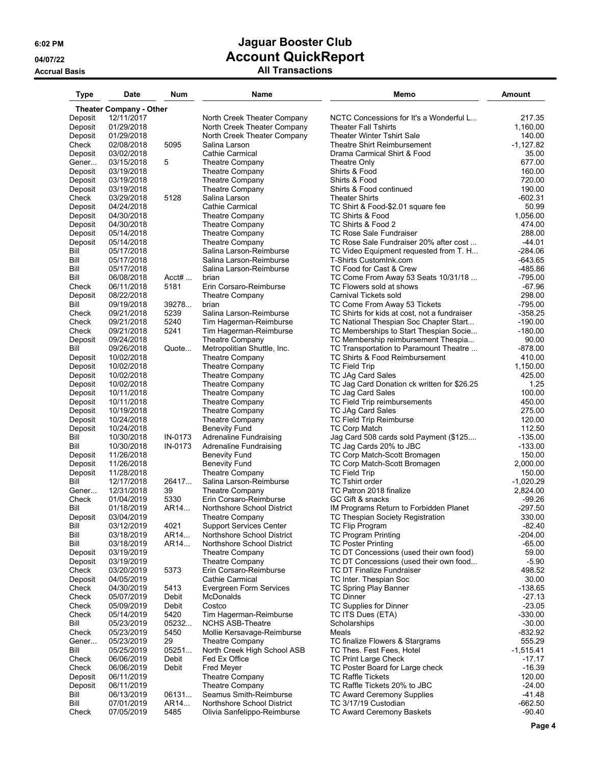**Accrual Basis All Transactions**

| <b>Type</b>      | <b>Date</b>                    | <b>Num</b>     | Name                                                  | Memo                                                                          | <b>Amount</b>         |
|------------------|--------------------------------|----------------|-------------------------------------------------------|-------------------------------------------------------------------------------|-----------------------|
|                  | <b>Theater Company - Other</b> |                |                                                       |                                                                               |                       |
| Deposit          | 12/11/2017                     |                | North Creek Theater Company                           | NCTC Concessions for It's a Wonderful L                                       | 217.35                |
| Deposit          | 01/29/2018                     |                | North Creek Theater Company                           | <b>Theater Fall Tshirts</b>                                                   | 1,160.00              |
| Deposit          | 01/29/2018                     |                | North Creek Theater Company                           | <b>Theater Winter Tshirt Sale</b>                                             | 140.00                |
| Check            | 02/08/2018                     | 5095           | Salina Larson                                         | Theatre Shirt Reimbursement                                                   | $-1,127.82$           |
| Deposit<br>Gener | 03/02/2018<br>03/15/2018       | 5              | Cathie Carmical                                       | Drama Carmical Shirt & Food                                                   | 35.00<br>677.00       |
| Deposit          | 03/19/2018                     |                | <b>Theatre Company</b><br><b>Theatre Company</b>      | Theatre Only<br>Shirts & Food                                                 | 160.00                |
| Deposit          | 03/19/2018                     |                | <b>Theatre Company</b>                                | Shirts & Food                                                                 | 720.00                |
| Deposit          | 03/19/2018                     |                | Theatre Company                                       | Shirts & Food continued                                                       | 190.00                |
| Check            | 03/29/2018                     | 5128           | Salina Larson                                         | <b>Theater Shirts</b>                                                         | -602.31               |
| Deposit          | 04/24/2018                     |                | Cathie Carmical                                       | TC Shirt & Food-\$2.01 square fee                                             | 50.99                 |
| Deposit          | 04/30/2018                     |                | Theatre Company                                       | TC Shirts & Food                                                              | 1.056.00              |
| Deposit          | 04/30/2018                     |                | Theatre Company                                       | TC Shirts & Food 2                                                            | 474.00                |
| Deposit          | 05/14/2018                     |                | Theatre Company                                       | <b>TC Rose Sale Fundraiser</b>                                                | 288.00                |
| Deposit<br>Bill  | 05/14/2018<br>05/17/2018       |                | <b>Theatre Company</b><br>Salina Larson-Reimburse     | TC Rose Sale Fundraiser 20% after cost                                        | $-44.01$<br>-284.06   |
| Bill             | 05/17/2018                     |                | Salina Larson-Reimburse                               | TC Video Equipment requested from T. H<br>T-Shirts CustomInk.com              | -643.65               |
| Bill             | 05/17/2018                     |                | Salina Larson-Reimburse                               | TC Food for Cast & Crew                                                       | -485.86               |
| Bill             | 06/08/2018                     | $Acctt#$       | brian                                                 | TC Come From Away 53 Seats 10/31/18                                           | $-795.00$             |
| Check            | 06/11/2018                     | 5181           | Erin Corsaro-Reimburse                                | TC Flowers sold at shows                                                      | $-67.96$              |
| Deposit          | 08/22/2018                     |                | Theatre Company                                       | Carnival Tickets sold                                                         | 298.00                |
| Bill             | 09/19/2018                     | 39278          | brian                                                 | TC Come From Away 53 Tickets                                                  | $-795.00$             |
| Check            | 09/21/2018                     | 5239           | Salina Larson-Reimburse                               | TC Shirts for kids at cost, not a fundraiser                                  | $-358.25$             |
| Check            | 09/21/2018                     | 5240           | Tim Hagerman-Reimburse                                | TC National Thespian Soc Chapter Start                                        | $-190.00$             |
| Check            | 09/21/2018                     | 5241           | Tim Hagerman-Reimburse                                | TC Memberships to Start Thespian Socie                                        | $-180.00$             |
| Deposit<br>Bill  | 09/24/2018<br>09/26/2018       | Quote          | <b>Theatre Company</b><br>Metropolitian Shuttle, Inc. | TC Membership reimbursement Thespia<br>TC Transportation to Paramount Theatre | 90.00<br>$-878.00$    |
| Deposit          | 10/02/2018                     |                | <b>Theatre Company</b>                                | TC Shirts & Food Reimbursement                                                | 410.00                |
| Deposit          | 10/02/2018                     |                | Theatre Company                                       | <b>TC Field Trip</b>                                                          | 1,150.00              |
| Deposit          | 10/02/2018                     |                | <b>Theatre Company</b>                                | <b>TC JAg Card Sales</b>                                                      | 425.00                |
| Deposit          | 10/02/2018                     |                | Theatre Company                                       | TC Jag Card Donation ck written for \$26.25                                   | 1.25                  |
| Deposit          | 10/11/2018                     |                | Theatre Company                                       | TC Jag Card Sales                                                             | 100.00                |
| Deposit          | 10/11/2018                     |                | Theatre Company                                       | TC Field Trip reimbursements                                                  | 450.00                |
| Deposit          | 10/19/2018                     |                | Theatre Company                                       | <b>TC JAg Card Sales</b>                                                      | 275.00                |
| Deposit          | 10/24/2018                     |                | <b>Theatre Company</b><br><b>Benevity Fund</b>        | TC Field Trip Reimburse                                                       | 120.00<br>112.50      |
| Deposit<br>Bill  | 10/24/2018<br>10/30/2018       | IN-0173        | <b>Adrenaline Fundraising</b>                         | <b>TC Corp Match</b><br>Jag Card 508 cards sold Payment (\$125                | $-135.00$             |
| Bill             | 10/30/2018                     | IN-0173        | Adrenaline Fundraising                                | TC Jag Cards 20% to JBC                                                       | $-133.00$             |
| Deposit          | 11/26/2018                     |                | <b>Benevity Fund</b>                                  | TC Corp Match-Scott Bromagen                                                  | 150.00                |
| Deposit          | 11/26/2018                     |                | <b>Benevity Fund</b>                                  | TC Corp Match-Scott Bromagen                                                  | 2,000.00              |
| Deposit          | 11/28/2018                     |                | <b>Theatre Company</b>                                | <b>TC Field Trip</b>                                                          | 150.00                |
| Bill             | 12/17/2018                     | 26417          | Salina Larson-Reimburse                               | <b>TC Tshirt order</b>                                                        | $-1,020.29$           |
| Gener            | 12/31/2018                     | 39             | <b>Theatre Company</b>                                | TC Patron 2018 finalize                                                       | 2,824.00              |
| Check            | 01/04/2019                     | 5330           | Erin Corsaro-Reimburse                                | GC Gift & snacks                                                              | -99.26                |
| Bill             | 01/18/2019                     | AR14           | Northshore School District                            | IM Programs Return to Forbidden Planet                                        | -297.50               |
| Deposit<br>Bill  | 03/04/2019<br>03/12/2019       | 4021           | Theatre Company<br><b>Support Services Center</b>     | TC Thespian Society Registration<br>TC Flip Program                           | 330.00<br>$-82.40$    |
| Bill             | 03/18/2019                     | AR14           | Northshore School District                            | <b>TC Program Printing</b>                                                    | $-204.00$             |
| Bill             | 03/18/2019                     | AR14           | Northshore School District                            | <b>TC Poster Printing</b>                                                     | $-65.00$              |
| Deposit          | 03/19/2019                     |                | Theatre Company                                       | TC DT Concessions (used their own food)                                       | 59.00                 |
| Deposit          | 03/19/2019                     |                | Theatre Company                                       | TC DT Concessions (used their own food                                        | $-5.90$               |
| Check            | 03/20/2019                     | 5373           | Erin Corsaro-Reimburse                                | <b>TC DT Finalize Fundraiser</b>                                              | 498.52                |
| Deposit          | 04/05/2019                     |                | Cathie Carmical                                       | TC Inter. Thespian Soc                                                        | 30.00                 |
| Check            | 04/30/2019                     | 5413           | Evergreen Form Services                               | TC Spring Play Banner                                                         | $-138.65$             |
| Check            | 05/07/2019<br>05/09/2019       | Debit<br>Debit | <b>McDonalds</b><br>Costco                            | <b>TC Dinner</b>                                                              | $-27.13$<br>$-23.05$  |
| Check<br>Check   | 05/14/2019                     | 5420           | Tim Hagerman-Reimburse                                | TC Supplies for Dinner<br>TC ITS Dues (ETA)                                   | $-330.00$             |
| Bill             | 05/23/2019                     | 05232          | <b>NCHS ASB-Theatre</b>                               | Scholarships                                                                  | $-30.00$              |
| Check            | 05/23/2019                     | 5450           | Mollie Kersavage-Reimburse                            | Meals                                                                         | $-832.92$             |
| Gener            | 05/23/2019                     | 29             | Theatre Company                                       | TC finalize Flowers & Stargrams                                               | 555.29                |
| Bill             | 05/25/2019                     | 05251          | North Creek High School ASB                           | TC Thes. Fest Fees, Hotel                                                     | $-1,515.41$           |
| Check            | 06/06/2019                     | Debit          | Fed Ex Office                                         | <b>TC Print Large Check</b>                                                   | $-17.17$              |
| Check            | 06/06/2019                     | Debit          | <b>Fred Meyer</b>                                     | TC Poster Board for Large check                                               | $-16.39$              |
| Deposit          | 06/11/2019                     |                | Theatre Company                                       | <b>TC Raffle Tickets</b>                                                      | 120.00                |
| Deposit          | 06/11/2019                     |                | Theatre Company                                       | TC Raffle Tickets 20% to JBC                                                  | $-24.00$              |
| Bill<br>Bill     | 06/13/2019<br>07/01/2019       | 06131<br>AR14  | Seamus Smith-Reimburse<br>Northshore School District  | TC Award Ceremony Supplies<br>TC 3/17/19 Custodian                            | $-41.48$<br>$-662.50$ |
| Check            | 07/05/2019                     | 5485           | Olivia Sanfelippo-Reimburse                           | TC Award Ceremony Baskets                                                     | $-90.40$              |
|                  |                                |                |                                                       |                                                                               |                       |